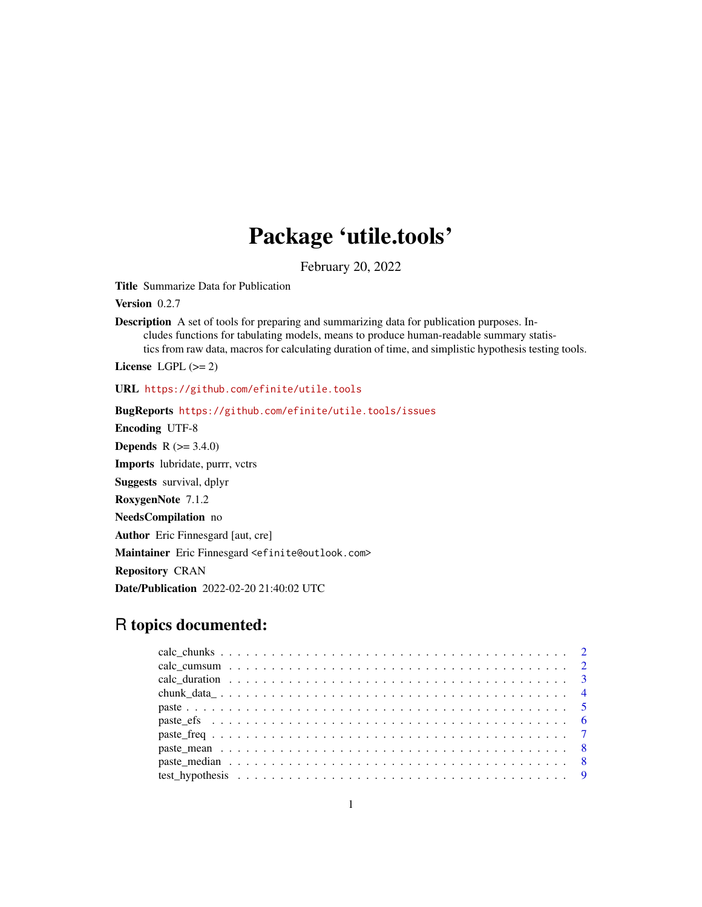## Package 'utile.tools'

February 20, 2022

<span id="page-0-0"></span>Title Summarize Data for Publication

Version 0.2.7

Description A set of tools for preparing and summarizing data for publication purposes. Includes functions for tabulating models, means to produce human-readable summary statistics from raw data, macros for calculating duration of time, and simplistic hypothesis testing tools.

License LGPL  $(>= 2)$ 

URL <https://github.com/efinite/utile.tools>

BugReports <https://github.com/efinite/utile.tools/issues> Encoding UTF-8 **Depends** R  $(>= 3.4.0)$ Imports lubridate, purrr, vctrs Suggests survival, dplyr RoxygenNote 7.1.2 NeedsCompilation no Author Eric Finnesgard [aut, cre] Maintainer Eric Finnesgard <efinite@outlook.com> Repository CRAN Date/Publication 2022-02-20 21:40:02 UTC

### R topics documented:

| $chunk_data_1 \ldots \ldots \ldots \ldots \ldots \ldots \ldots \ldots \ldots \ldots \ldots \ldots \ldots$ |  |
|-----------------------------------------------------------------------------------------------------------|--|
|                                                                                                           |  |
|                                                                                                           |  |
|                                                                                                           |  |
|                                                                                                           |  |
|                                                                                                           |  |
|                                                                                                           |  |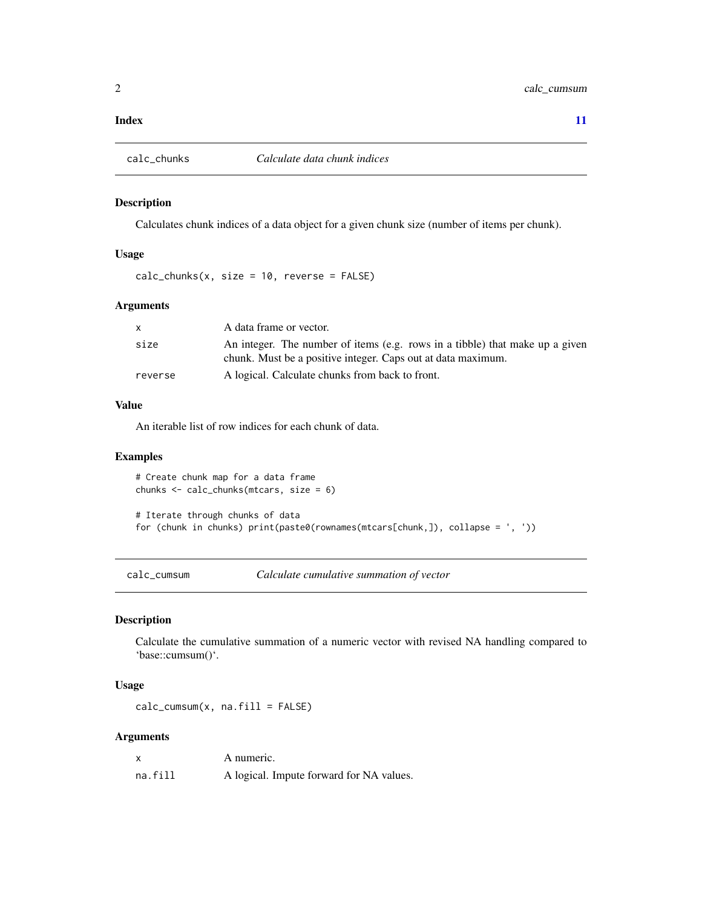#### <span id="page-1-0"></span>**Index** [11](#page-10-0)

#### Description

Calculates chunk indices of a data object for a given chunk size (number of items per chunk).

#### Usage

 $calc\_chunks(x, size = 10, reverse = FALSE)$ 

#### Arguments

|         | A data frame or vector.                                                                                                                      |
|---------|----------------------------------------------------------------------------------------------------------------------------------------------|
| size    | An integer. The number of items (e.g. rows in a tibble) that make up a given<br>chunk. Must be a positive integer. Caps out at data maximum. |
| reverse | A logical. Calculate chunks from back to front.                                                                                              |

#### Value

An iterable list of row indices for each chunk of data.

#### Examples

```
# Create chunk map for a data frame
chunks <- calc_chunks(mtcars, size = 6)
# Iterate through chunks of data
for (chunk in chunks) print(paste0(rownames(mtcars[chunk,]), collapse = ', '))
```
calc\_cumsum *Calculate cumulative summation of vector*

#### Description

Calculate the cumulative summation of a numeric vector with revised NA handling compared to 'base::cumsum()'.

#### Usage

calc\_cumsum(x, na.fill = FALSE)

#### Arguments

|         | A numeric.                               |
|---------|------------------------------------------|
| na.fill | A logical. Impute forward for NA values. |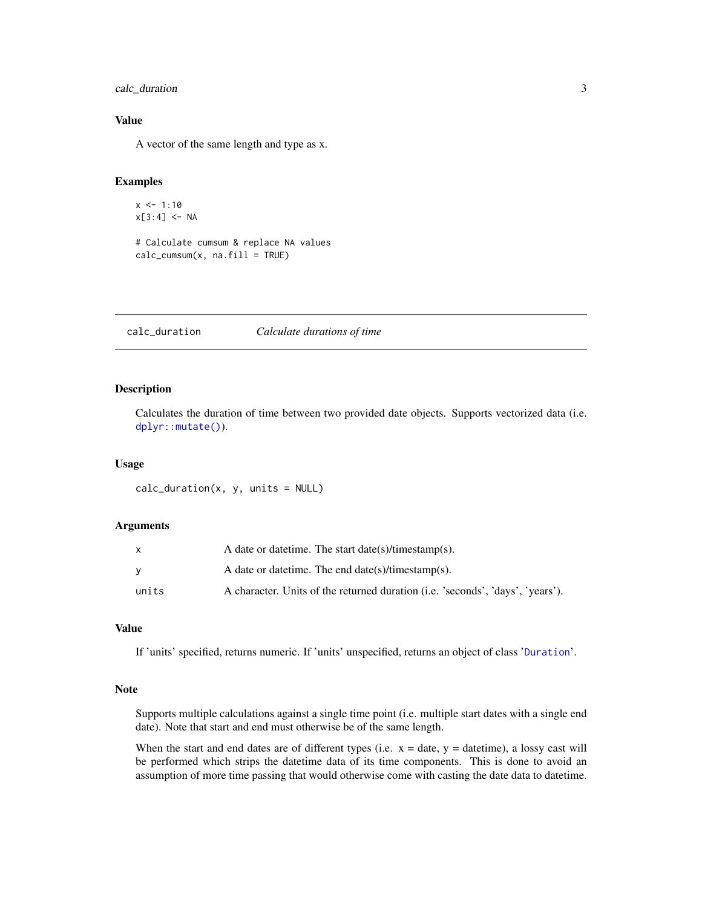#### <span id="page-2-0"></span>calc\_duration 3

#### Value

A vector of the same length and type as x.

#### Examples

```
x < -1:10x[3:4] < -NA
```

```
# Calculate cumsum & replace NA values
calc\_cumsum(x, na.file = TRUE)
```
calc\_duration *Calculate durations of time*

#### Description

Calculates the duration of time between two provided date objects. Supports vectorized data (i.e. [dplyr::mutate\(\)](#page-0-0)).

#### Usage

 $calc\_duration(x, y, units = NULL)$ 

#### Arguments

|       | A date or date time. The start date $(s)/t$ imestamp $(s)$ .                   |
|-------|--------------------------------------------------------------------------------|
| v     | A date or date time. The end date $(s)/t$ imestamp $(s)$ .                     |
| units | A character. Units of the returned duration (i.e. 'seconds', 'days', 'years'). |

#### Value

If 'units' specified, returns numeric. If 'units' unspecified, returns an object of class '[Duration](#page-0-0)'.

#### Note

Supports multiple calculations against a single time point (i.e. multiple start dates with a single end date). Note that start and end must otherwise be of the same length.

When the start and end dates are of different types (i.e.  $x =$  date,  $y =$  datetime), a lossy cast will be performed which strips the datetime data of its time components. This is done to avoid an assumption of more time passing that would otherwise come with casting the date data to datetime.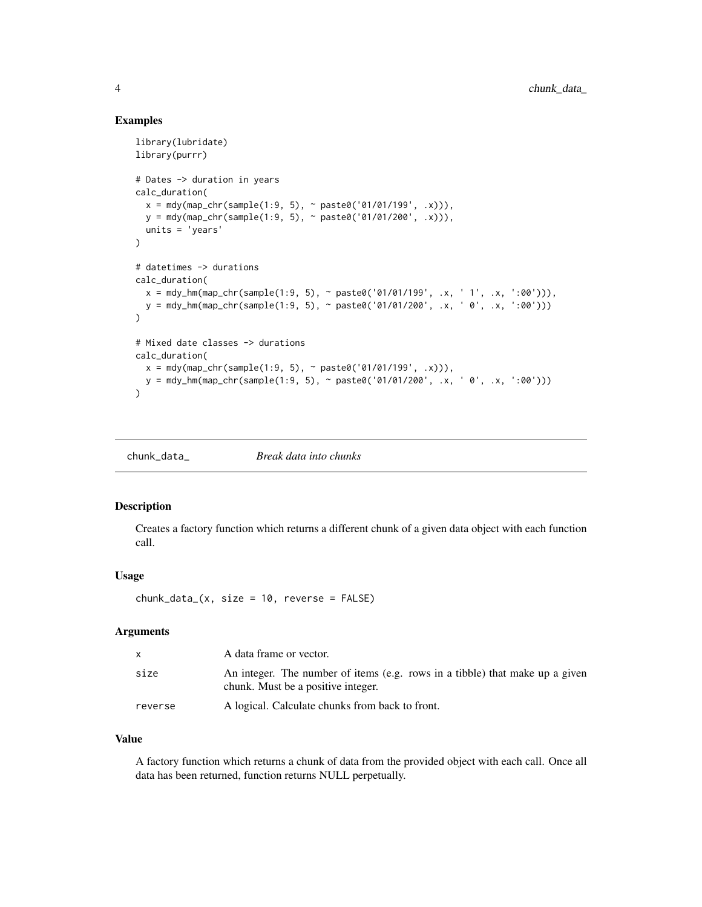#### Examples

```
library(lubridate)
library(purrr)
# Dates -> duration in years
calc_duration(
  x = mdy(map_{chr}(\text{sample}(1:9, 5), \sim \text{paste0}('01/01/199', .x))),y = mdy(map_chr(sample(1:9, 5), ~ paste0('01/01/200', .x))),
  units = 'years'
)
# datetimes -> durations
calc_duration(
  x = mdy_hm(map_chr(sample(1:9, 5), ~\text{paste0('01/01/199', .x, '1', .x, ':00'))),y = mdy_hm(map_chr(sample(1:9, 5), ~\text{paste0('01/01/200', .x, ' 0', .x, ':00'))})\lambda# Mixed date classes -> durations
calc_duration(
  x = mdy(map_{chr}(\text{sample}(1:9, 5), \sim \text{packet}(01/01/199', .x))),y = mdy_hm(map_chr(sample(1:9, 5), ~ paste0('01/01/200', .x, ' 0', .x, ':00')))
)
```
chunk\_data\_ *Break data into chunks*

#### Description

Creates a factory function which returns a different chunk of a given data object with each function call.

#### Usage

 $chunk_data_{x, size = 10, reverse = FALSE)$ 

#### Arguments

| $\mathbf{x}$ | A data frame or vector.                                                                                            |
|--------------|--------------------------------------------------------------------------------------------------------------------|
| size         | An integer. The number of items (e.g. rows in a tibble) that make up a given<br>chunk. Must be a positive integer. |
| reverse      | A logical. Calculate chunks from back to front.                                                                    |

#### Value

A factory function which returns a chunk of data from the provided object with each call. Once all data has been returned, function returns NULL perpetually.

<span id="page-3-0"></span>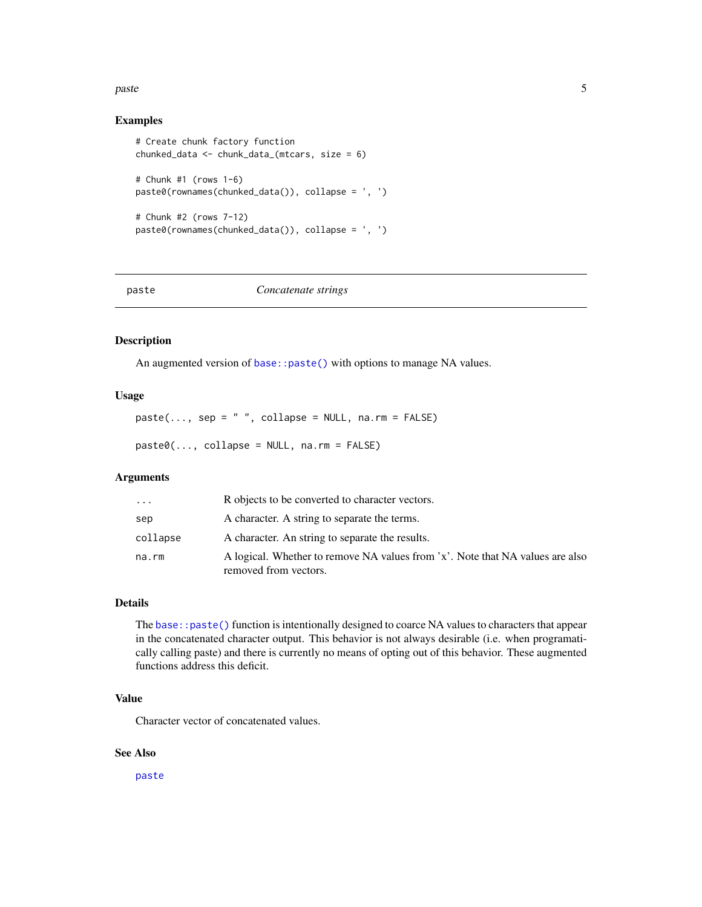#### <span id="page-4-0"></span>paste the state of the state of the state of the state of the state of the state of the state of the state of the state of the state of the state of the state of the state of the state of the state of the state of the stat

#### Examples

```
# Create chunk factory function
chunked_data <- chunk_data_(mtcars, size = 6)
# Chunk #1 (rows 1-6)
paste0(rownames(chunked_data()), collapse = ', ')
# Chunk #2 (rows 7-12)
paste0(rownames(chunked_data()), collapse = ', ')
```
<span id="page-4-1"></span>paste *Concatenate strings*

#### Description

An augmented version of [base::paste\(\)](#page-0-0) with options to manage NA values.

#### Usage

 $paste(..., sep = " " , collapse = NULL, na.rm = FALSE)$ 

 $past $\Theta(\ldots, collapse = NULL, na.rm = FALSE)$$ 

#### Arguments

| $\cdots$ | R objects to be converted to character vectors.                                                        |
|----------|--------------------------------------------------------------------------------------------------------|
| sep      | A character. A string to separate the terms.                                                           |
| collapse | A character. An string to separate the results.                                                        |
| na.rm    | A logical. Whether to remove NA values from 'x'. Note that NA values are also<br>removed from vectors. |

#### Details

The [base::paste\(\)](#page-0-0) function is intentionally designed to coarce NA values to characters that appear in the concatenated character output. This behavior is not always desirable (i.e. when programatically calling paste) and there is currently no means of opting out of this behavior. These augmented functions address this deficit.

#### Value

Character vector of concatenated values.

#### See Also

[paste](#page-4-1)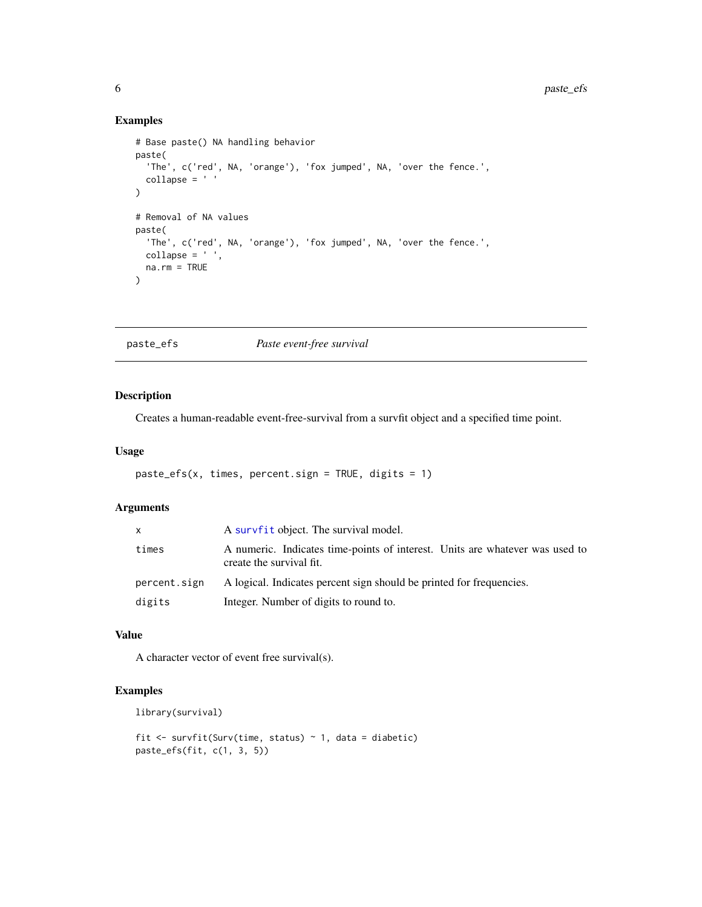#### Examples

```
# Base paste() NA handling behavior
paste(
  'The', c('red', NA, 'orange'), 'fox jumped', NA, 'over the fence.',
  collapse = ' '
\mathcal{L}# Removal of NA values
paste(
  'The', c('red', NA, 'orange'), 'fox jumped', NA, 'over the fence.',
 collapse = ' ',
 na.rm = TRUE
\lambda
```
paste\_efs *Paste event-free survival*

#### Description

Creates a human-readable event-free-survival from a survfit object and a specified time point.

#### Usage

```
paste_efs(x, times, percent.sign = TRUE, digits = 1)
```
#### Arguments

|              | A survfit object. The survival model.                                                                    |
|--------------|----------------------------------------------------------------------------------------------------------|
| times        | A numeric. Indicates time-points of interest. Units are whatever was used to<br>create the survival fit. |
| percent.sign | A logical. Indicates percent sign should be printed for frequencies.                                     |
| digits       | Integer. Number of digits to round to.                                                                   |

#### Value

A character vector of event free survival(s).

#### Examples

```
library(survival)
```

```
fit <- survfit(Surv(time, status) ~ 1, data = diabetic)
paste_efs(fit, c(1, 3, 5))
```
<span id="page-5-0"></span>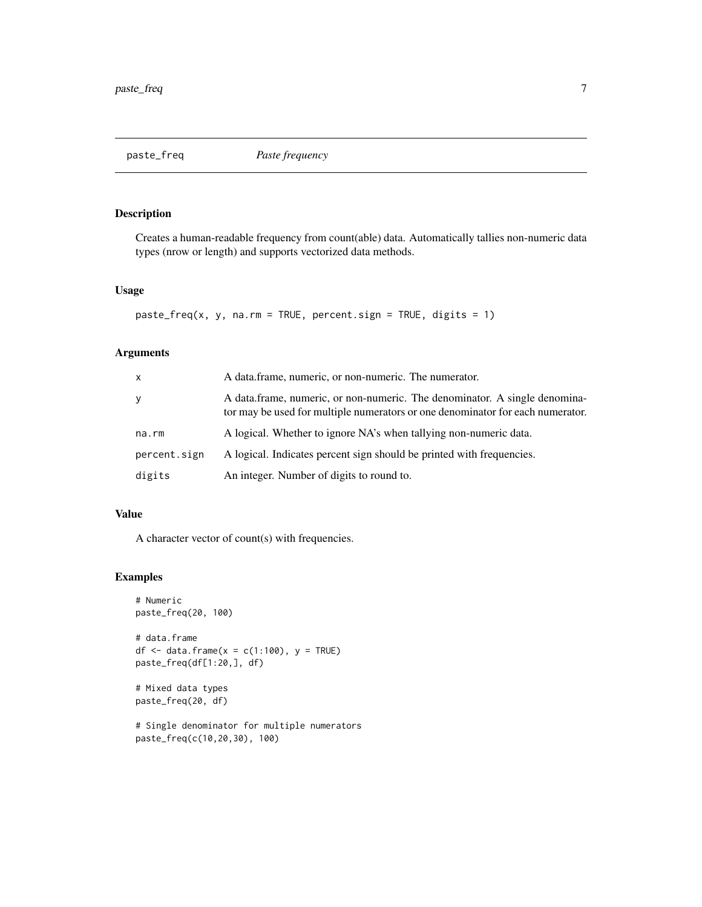<span id="page-6-0"></span>

### Description

Creates a human-readable frequency from count(able) data. Automatically tallies non-numeric data types (nrow or length) and supports vectorized data methods.

#### Usage

```
past \epsilon_f \text{req}(x, y, na.rm = TRUE, percent.size n = TRUE, digits = 1)
```
### Arguments

| X            | A data frame, numeric, or non-numeric. The numerator.                                                                                                        |
|--------------|--------------------------------------------------------------------------------------------------------------------------------------------------------------|
| y            | A data frame, numeric, or non-numeric. The denominator. A single denomina-<br>tor may be used for multiple numerators or one denominator for each numerator. |
| na.rm        | A logical. Whether to ignore NA's when tallying non-numeric data.                                                                                            |
| percent.sign | A logical. Indicates percent sign should be printed with frequencies.                                                                                        |
| digits       | An integer. Number of digits to round to.                                                                                                                    |

#### Value

A character vector of count(s) with frequencies.

#### Examples

```
# Numeric
paste_freq(20, 100)
# data.frame
df \le data.frame(x = c(1:100), y = TRUE)
paste_freq(df[1:20,], df)
# Mixed data types
paste_freq(20, df)
# Single denominator for multiple numerators
```
paste\_freq(c(10,20,30), 100)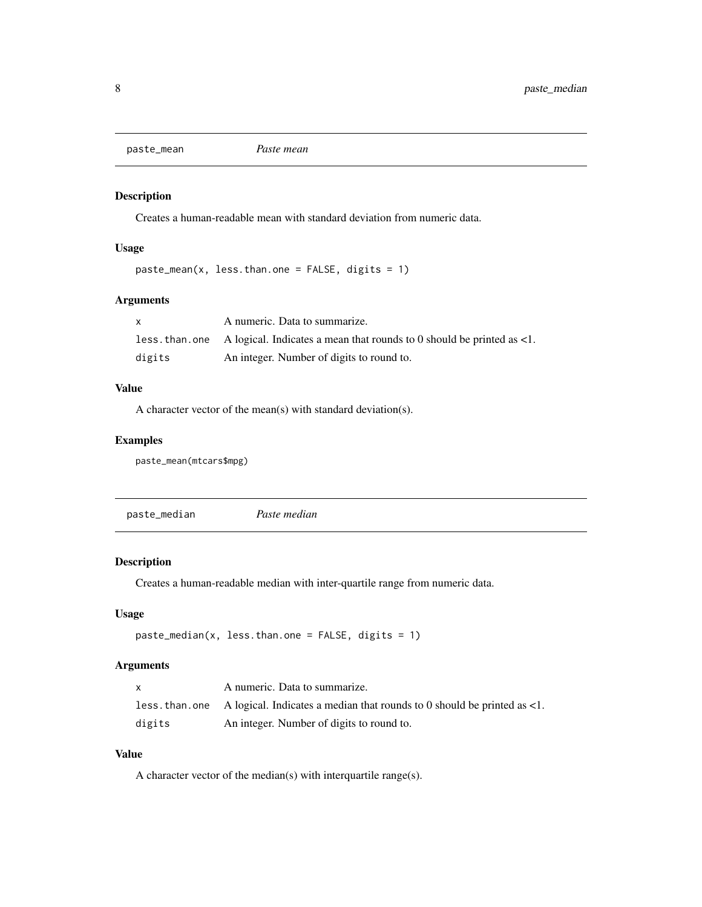<span id="page-7-0"></span>paste\_mean *Paste mean*

#### Description

Creates a human-readable mean with standard deviation from numeric data.

#### Usage

```
pastemean(x, less than.one = FALSE, digits = 1)
```
#### Arguments

|        | A numeric. Data to summarize.                                                                            |
|--------|----------------------------------------------------------------------------------------------------------|
|        | less, than, one A logical. Indicates a mean that rounds to 0 should be printed as $\langle 1, 2 \rangle$ |
| digits | An integer. Number of digits to round to.                                                                |

#### Value

A character vector of the mean(s) with standard deviation(s).

#### Examples

paste\_mean(mtcars\$mpg)

| paste_median | Paste median |
|--------------|--------------|
|              |              |

#### Description

Creates a human-readable median with inter-quartile range from numeric data.

#### Usage

```
pastemedian(x, less.than.one = FALSE, digits = 1)
```
#### Arguments

| X      | A numeric. Data to summarize.                                                                 |
|--------|-----------------------------------------------------------------------------------------------|
|        | less, than, one A logical. Indicates a median that rounds to 0 should be printed as $\lt 1$ . |
| digits | An integer. Number of digits to round to.                                                     |

#### Value

A character vector of the median(s) with interquartile range(s).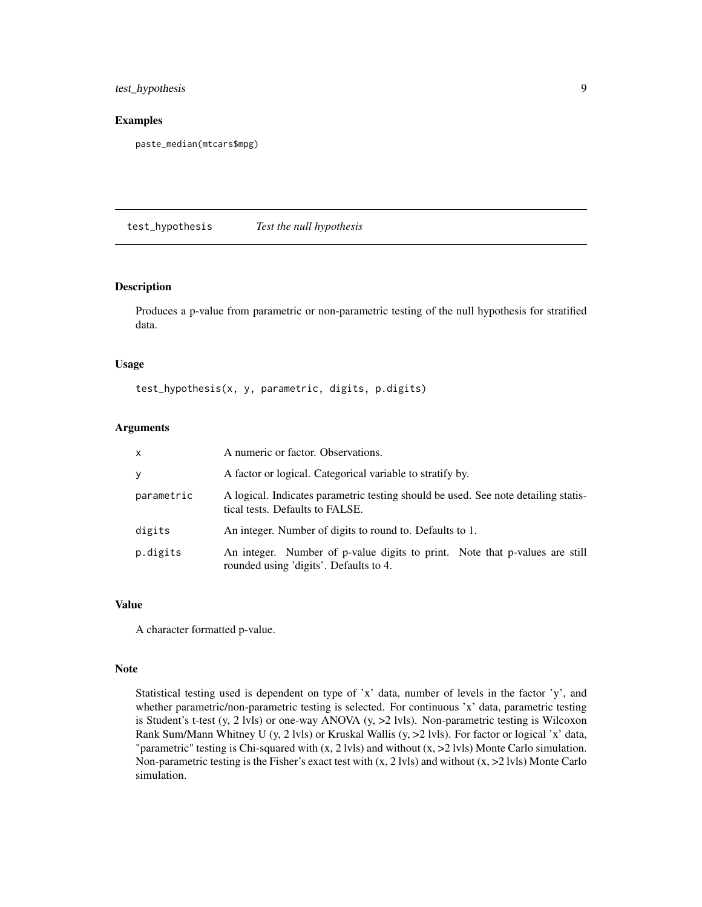#### <span id="page-8-0"></span>test\_hypothesis 9

#### Examples

paste\_median(mtcars\$mpg)

test\_hypothesis *Test the null hypothesis*

#### Description

Produces a p-value from parametric or non-parametric testing of the null hypothesis for stratified data.

#### Usage

test\_hypothesis(x, y, parametric, digits, p.digits)

#### Arguments

| $\mathsf{x}$ | A numeric or factor. Observations.                                                                                    |
|--------------|-----------------------------------------------------------------------------------------------------------------------|
| <b>y</b>     | A factor or logical. Categorical variable to stratify by.                                                             |
| parametric   | A logical. Indicates parametric testing should be used. See note detailing statis-<br>tical tests. Defaults to FALSE. |
| digits       | An integer. Number of digits to round to. Defaults to 1.                                                              |
| p.digits     | An integer. Number of p-value digits to print. Note that p-values are still<br>rounded using 'digits'. Defaults to 4. |

#### Value

A character formatted p-value.

#### Note

Statistical testing used is dependent on type of 'x' data, number of levels in the factor 'y', and whether parametric/non-parametric testing is selected. For continuous 'x' data, parametric testing is Student's t-test (y, 2 lvls) or one-way ANOVA (y, >2 lvls). Non-parametric testing is Wilcoxon Rank Sum/Mann Whitney U (y, 2 lvls) or Kruskal Wallis (y, >2 lvls). For factor or logical 'x' data, "parametric" testing is Chi-squared with (x, 2 lvls) and without (x, >2 lvls) Monte Carlo simulation. Non-parametric testing is the Fisher's exact test with  $(x, 2 \text{ lvis})$  and without  $(x, >2 \text{ lvis})$  Monte Carlo simulation.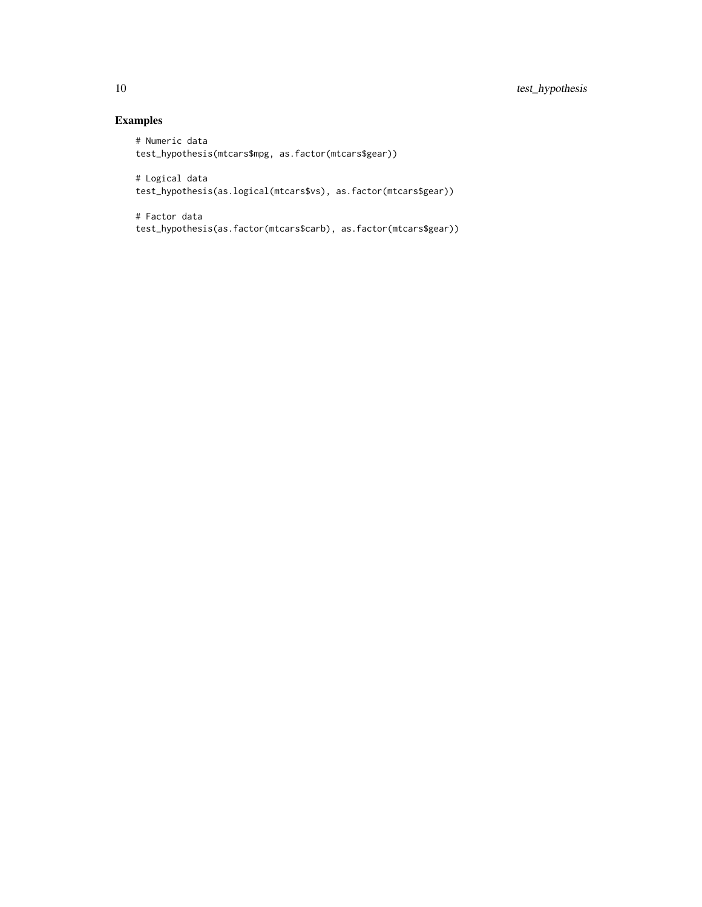### Examples

```
# Numeric data
test_hypothesis(mtcars$mpg, as.factor(mtcars$gear))
# Logical data
test_hypothesis(as.logical(mtcars$vs), as.factor(mtcars$gear))
```

```
# Factor data
test_hypothesis(as.factor(mtcars$carb), as.factor(mtcars$gear))
```